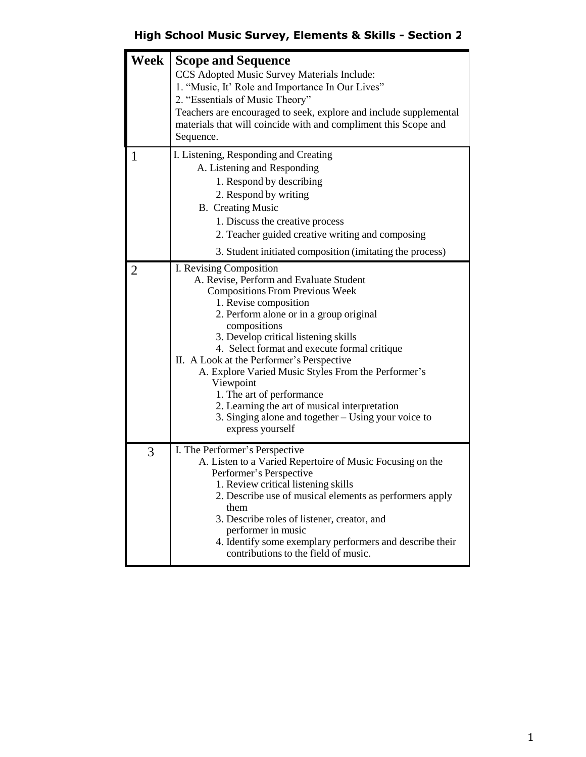## **High School Music Survey, Elements & Skills - Section 2**

| Week | <b>Scope and Sequence</b><br>CCS Adopted Music Survey Materials Include:<br>1. "Music, It' Role and Importance In Our Lives"<br>2. "Essentials of Music Theory"<br>Teachers are encouraged to seek, explore and include supplemental<br>materials that will coincide with and compliment this Scope and<br>Sequence.                                                                                                                                                                                                                                               |
|------|--------------------------------------------------------------------------------------------------------------------------------------------------------------------------------------------------------------------------------------------------------------------------------------------------------------------------------------------------------------------------------------------------------------------------------------------------------------------------------------------------------------------------------------------------------------------|
| 1    | I. Listening, Responding and Creating<br>A. Listening and Responding<br>1. Respond by describing<br>2. Respond by writing<br><b>B.</b> Creating Music<br>1. Discuss the creative process<br>2. Teacher guided creative writing and composing<br>3. Student initiated composition (imitating the process)                                                                                                                                                                                                                                                           |
| 2    | I. Revising Composition<br>A. Revise, Perform and Evaluate Student<br><b>Compositions From Previous Week</b><br>1. Revise composition<br>2. Perform alone or in a group original<br>compositions<br>3. Develop critical listening skills<br>4. Select format and execute formal critique<br>II. A Look at the Performer's Perspective<br>A. Explore Varied Music Styles From the Performer's<br>Viewpoint<br>1. The art of performance<br>2. Learning the art of musical interpretation<br>3. Singing alone and together – Using your voice to<br>express yourself |
| 3    | I. The Performer's Perspective<br>A. Listen to a Varied Repertoire of Music Focusing on the<br>Performer's Perspective<br>1. Review critical listening skills<br>2. Describe use of musical elements as performers apply<br>them<br>3. Describe roles of listener, creator, and<br>performer in music<br>4. Identify some exemplary performers and describe their<br>contributions to the field of music.                                                                                                                                                          |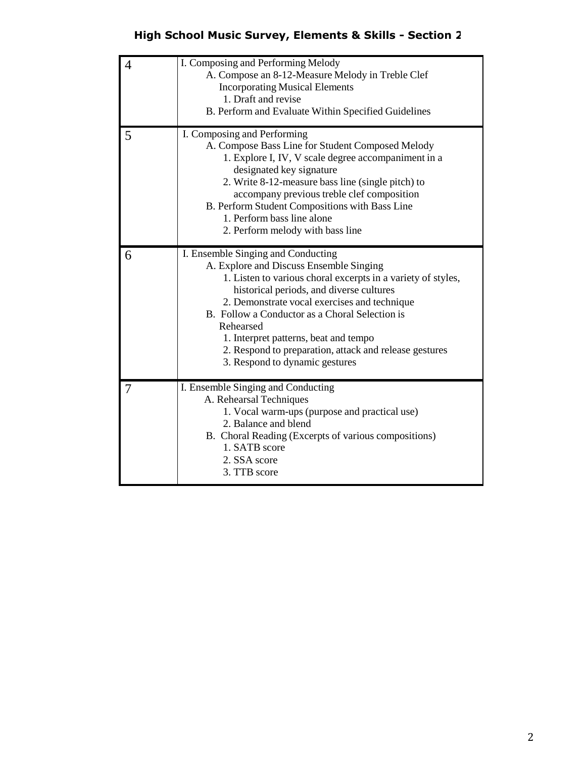## **High School Music Survey, Elements & Skills - Section 2**

| 4 | I. Composing and Performing Melody<br>A. Compose an 8-12-Measure Melody in Treble Clef<br><b>Incorporating Musical Elements</b><br>1. Draft and revise<br>B. Perform and Evaluate Within Specified Guidelines                                                                                                                                                                                                                                 |
|---|-----------------------------------------------------------------------------------------------------------------------------------------------------------------------------------------------------------------------------------------------------------------------------------------------------------------------------------------------------------------------------------------------------------------------------------------------|
| 5 | I. Composing and Performing<br>A. Compose Bass Line for Student Composed Melody<br>1. Explore I, IV, V scale degree accompaniment in a<br>designated key signature<br>2. Write 8-12-measure bass line (single pitch) to<br>accompany previous treble clef composition<br>B. Perform Student Compositions with Bass Line<br>1. Perform bass line alone<br>2. Perform melody with bass line                                                     |
| 6 | I. Ensemble Singing and Conducting<br>A. Explore and Discuss Ensemble Singing<br>1. Listen to various choral excerpts in a variety of styles,<br>historical periods, and diverse cultures<br>2. Demonstrate vocal exercises and technique<br>B. Follow a Conductor as a Choral Selection is<br>Rehearsed<br>1. Interpret patterns, beat and tempo<br>2. Respond to preparation, attack and release gestures<br>3. Respond to dynamic gestures |
| 7 | I. Ensemble Singing and Conducting<br>A. Rehearsal Techniques<br>1. Vocal warm-ups (purpose and practical use)<br>2. Balance and blend<br>B. Choral Reading (Excerpts of various compositions)<br>1. SATB score<br>2. SSA score<br>3. TTB score                                                                                                                                                                                               |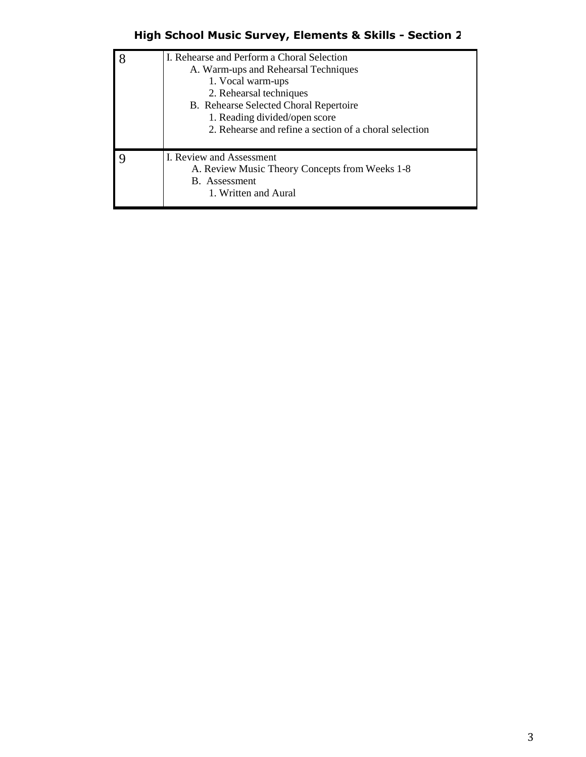**High School Music Survey, Elements & Skills - Section 2**

| I. Rehearse and Perform a Choral Selection<br>A. Warm-ups and Rehearsal Techniques<br>1. Vocal warm-ups<br>2. Rehearsal techniques<br>B. Rehearse Selected Choral Repertoire<br>1. Reading divided/open score<br>2. Rehearse and refine a section of a choral selection |
|-------------------------------------------------------------------------------------------------------------------------------------------------------------------------------------------------------------------------------------------------------------------------|
| I. Review and Assessment<br>A. Review Music Theory Concepts from Weeks 1-8<br><b>B.</b> Assessment<br>1. Written and Aural                                                                                                                                              |